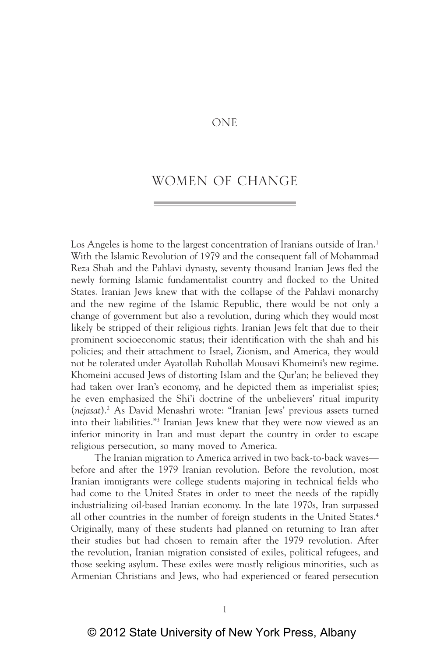### ONE

# Women of Change

Los Angeles is home to the largest concentration of Iranians outside of Iran.<sup>1</sup> With the Islamic Revolution of 1979 and the consequent fall of Mohammad Reza Shah and the Pahlavi dynasty, seventy thousand Iranian Jews fled the newly forming Islamic fundamentalist country and flocked to the United States. Iranian Jews knew that with the collapse of the Pahlavi monarchy and the new regime of the Islamic Republic, there would be not only a change of government but also a revolution, during which they would most likely be stripped of their religious rights. Iranian Jews felt that due to their prominent socioeconomic status; their identification with the shah and his policies; and their attachment to Israel, Zionism, and America, they would not be tolerated under Ayatollah Ruhollah Mousavi Khomeini's new regime. Khomeini accused Jews of distorting Islam and the Qur'an; he believed they had taken over Iran's economy, and he depicted them as imperialist spies; he even emphasized the Shi'i doctrine of the unbelievers' ritual impurity (*nejasat*).2 As David Menashri wrote: "Iranian Jews' previous assets turned into their liabilities."3 Iranian Jews knew that they were now viewed as an inferior minority in Iran and must depart the country in order to escape religious persecution, so many moved to America.

The Iranian migration to America arrived in two back-to-back waves before and after the 1979 Iranian revolution. Before the revolution, most Iranian immigrants were college students majoring in technical fields who had come to the United States in order to meet the needs of the rapidly industrializing oil-based Iranian economy. In the late 1970s, Iran surpassed all other countries in the number of foreign students in the United States.<sup>4</sup> Originally, many of these students had planned on returning to Iran after their studies but had chosen to remain after the 1979 revolution. After the revolution, Iranian migration consisted of exiles, political refugees, and those seeking asylum. These exiles were mostly religious minorities, such as Armenian Christians and Jews, who had experienced or feared persecution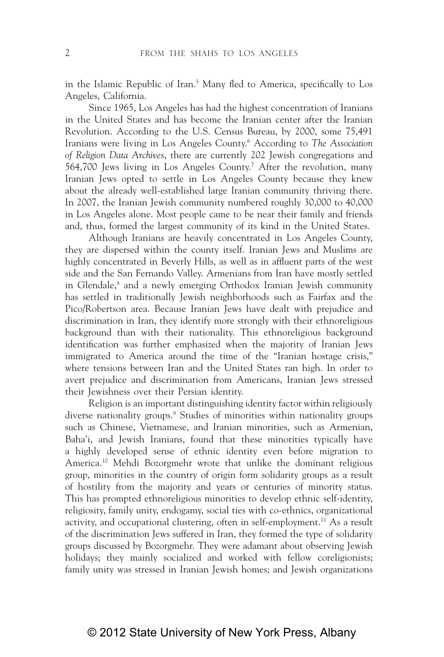in the Islamic Republic of Iran.<sup>5</sup> Many fled to America, specifically to Los Angeles, California.

Since 1965, Los Angeles has had the highest concentration of Iranians in the United States and has become the Iranian center after the Iranian Revolution. According to the U.S. Census Bureau, by 2000, some 75,491 Iranians were living in Los Angeles County.<sup>6</sup> According to *The Association of Religion Data Archives*, there are currently 202 Jewish congregations and 564,700 Jews living in Los Angeles County.7 After the revolution, many Iranian Jews opted to settle in Los Angeles County because they knew about the already well-established large Iranian community thriving there. In 2007, the Iranian Jewish community numbered roughly 30,000 to 40,000 in Los Angeles alone. Most people came to be near their family and friends and, thus, formed the largest community of its kind in the United States.

Although Iranians are heavily concentrated in Los Angeles County, they are dispersed within the county itself. Iranian Jews and Muslims are highly concentrated in Beverly Hills, as well as in affluent parts of the west side and the San Fernando Valley. Armenians from Iran have mostly settled in Glendale,<sup>8</sup> and a newly emerging Orthodox Iranian Jewish community has settled in traditionally Jewish neighborhoods such as Fairfax and the Pico/Robertson area. Because Iranian Jews have dealt with prejudice and discrimination in Iran, they identify more strongly with their ethnoreligious background than with their nationality. This ethnoreligious background identification was further emphasized when the majority of Iranian Jews immigrated to America around the time of the "Iranian hostage crisis," where tensions between Iran and the United States ran high. In order to avert prejudice and discrimination from Americans, Iranian Jews stressed their Jewishness over their Persian identity.

Religion is an important distinguishing identity factor within religiously diverse nationality groups.9 Studies of minorities within nationality groups such as Chinese, Vietnamese, and Iranian minorities, such as Armenian, Baha'i, and Jewish Iranians, found that these minorities typically have a highly developed sense of ethnic identity even before migration to America.10 Mehdi Bozorgmehr wrote that unlike the dominant religious group, minorities in the country of origin form solidarity groups as a result of hostility from the majority and years or centuries of minority status. This has prompted ethnoreligious minorities to develop ethnic self-identity, religiosity, family unity, endogamy, social ties with co-ethnics, organizational activity, and occupational clustering, often in self-employment.<sup>11</sup> As a result of the discrimination Jews suffered in Iran, they formed the type of solidarity groups discussed by Bozorgmehr. They were adamant about observing Jewish holidays; they mainly socialized and worked with fellow coreligionists; family unity was stressed in Iranian Jewish homes; and Jewish organizations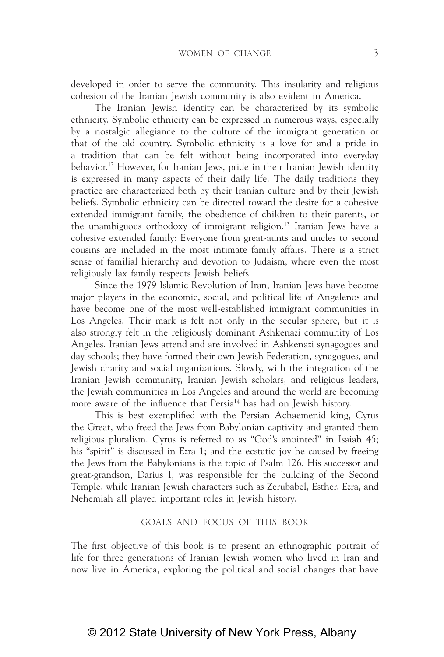developed in order to serve the community. This insularity and religious cohesion of the Iranian Jewish community is also evident in America.

The Iranian Jewish identity can be characterized by its symbolic ethnicity. Symbolic ethnicity can be expressed in numerous ways, especially by a nostalgic allegiance to the culture of the immigrant generation or that of the old country. Symbolic ethnicity is a love for and a pride in a tradition that can be felt without being incorporated into everyday behavior.12 However, for Iranian Jews, pride in their Iranian Jewish identity is expressed in many aspects of their daily life. The daily traditions they practice are characterized both by their Iranian culture and by their Jewish beliefs. Symbolic ethnicity can be directed toward the desire for a cohesive extended immigrant family, the obedience of children to their parents, or the unambiguous orthodoxy of immigrant religion.13 Iranian Jews have a cohesive extended family: Everyone from great-aunts and uncles to second cousins are included in the most intimate family affairs. There is a strict sense of familial hierarchy and devotion to Judaism, where even the most religiously lax family respects Jewish beliefs.

Since the 1979 Islamic Revolution of Iran, Iranian Jews have become major players in the economic, social, and political life of Angelenos and have become one of the most well-established immigrant communities in Los Angeles. Their mark is felt not only in the secular sphere, but it is also strongly felt in the religiously dominant Ashkenazi community of Los Angeles. Iranian Jews attend and are involved in Ashkenazi synagogues and day schools; they have formed their own Jewish Federation, synagogues, and Jewish charity and social organizations. Slowly, with the integration of the Iranian Jewish community, Iranian Jewish scholars, and religious leaders, the Jewish communities in Los Angeles and around the world are becoming more aware of the influence that Persia<sup>14</sup> has had on Jewish history.

This is best exemplified with the Persian Achaemenid king, Cyrus the Great, who freed the Jews from Babylonian captivity and granted them religious pluralism. Cyrus is referred to as "God's anointed" in Isaiah 45; his "spirit" is discussed in Ezra 1; and the ecstatic joy he caused by freeing the Jews from the Babylonians is the topic of Psalm 126. His successor and great-grandson, Darius I, was responsible for the building of the Second Temple, while Iranian Jewish characters such as Zerubabel, Esther, Ezra, and Nehemiah all played important roles in Jewish history.

### Goals and Focus of This Book

The first objective of this book is to present an ethnographic portrait of life for three generations of Iranian Jewish women who lived in Iran and now live in America, exploring the political and social changes that have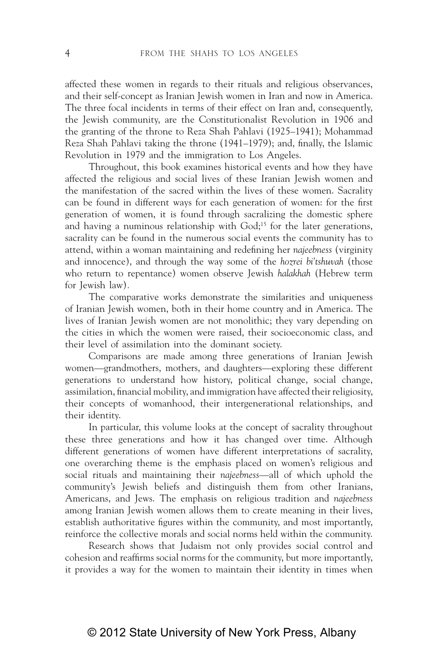affected these women in regards to their rituals and religious observances, and their self-concept as Iranian Jewish women in Iran and now in America. The three focal incidents in terms of their effect on Iran and, consequently, the Jewish community, are the Constitutionalist Revolution in 1906 and the granting of the throne to Reza Shah Pahlavi (1925–1941); Mohammad Reza Shah Pahlavi taking the throne (1941–1979); and, finally, the Islamic Revolution in 1979 and the immigration to Los Angeles.

Throughout, this book examines historical events and how they have affected the religious and social lives of these Iranian Jewish women and the manifestation of the sacred within the lives of these women. Sacrality can be found in different ways for each generation of women: for the first generation of women, it is found through sacralizing the domestic sphere and having a numinous relationship with God;<sup>15</sup> for the later generations, sacrality can be found in the numerous social events the community has to attend, within a woman maintaining and redefining her *najeebness* (virginity and innocence), and through the way some of the *hozrei bi'tshuvah* (those who return to repentance) women observe Jewish *halakhah* (Hebrew term for Jewish law)*.*

The comparative works demonstrate the similarities and uniqueness of Iranian Jewish women, both in their home country and in America. The lives of Iranian Jewish women are not monolithic; they vary depending on the cities in which the women were raised, their socioeconomic class, and their level of assimilation into the dominant society.

Comparisons are made among three generations of Iranian Jewish women—grandmothers, mothers, and daughters—exploring these different generations to understand how history, political change, social change, assimilation, financial mobility, and immigration have affected their religiosity, their concepts of womanhood, their intergenerational relationships, and their identity.

In particular, this volume looks at the concept of sacrality throughout these three generations and how it has changed over time. Although different generations of women have different interpretations of sacrality, one overarching theme is the emphasis placed on women's religious and social rituals and maintaining their *najeebness*—all of which uphold the community's Jewish beliefs and distinguish them from other Iranians, Americans, and Jews. The emphasis on religious tradition and *najeebness* among Iranian Jewish women allows them to create meaning in their lives, establish authoritative figures within the community, and most importantly, reinforce the collective morals and social norms held within the community.

Research shows that Judaism not only provides social control and cohesion and reaffirms social norms for the community, but more importantly, it provides a way for the women to maintain their identity in times when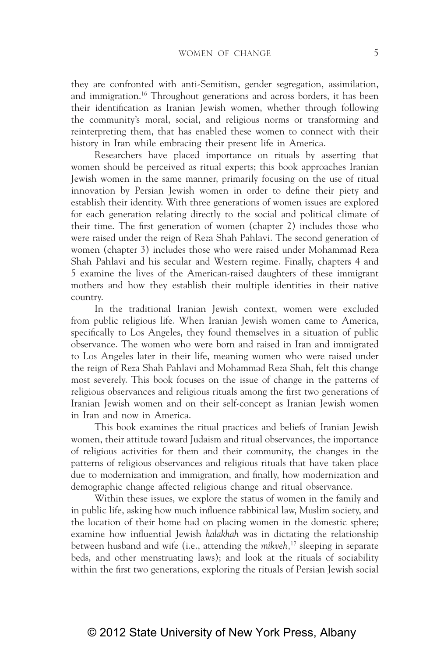they are confronted with anti-Semitism, gender segregation, assimilation, and immigration.<sup>16</sup> Throughout generations and across borders, it has been their identification as Iranian Jewish women, whether through following the community's moral, social, and religious norms or transforming and reinterpreting them, that has enabled these women to connect with their history in Iran while embracing their present life in America.

Researchers have placed importance on rituals by asserting that women should be perceived as ritual experts; this book approaches Iranian Jewish women in the same manner, primarily focusing on the use of ritual innovation by Persian Jewish women in order to define their piety and establish their identity. With three generations of women issues are explored for each generation relating directly to the social and political climate of their time. The first generation of women (chapter 2) includes those who were raised under the reign of Reza Shah Pahlavi. The second generation of women (chapter 3) includes those who were raised under Mohammad Reza Shah Pahlavi and his secular and Western regime. Finally, chapters 4 and 5 examine the lives of the American-raised daughters of these immigrant mothers and how they establish their multiple identities in their native country.

In the traditional Iranian Jewish context, women were excluded from public religious life. When Iranian Jewish women came to America, specifically to Los Angeles, they found themselves in a situation of public observance. The women who were born and raised in Iran and immigrated to Los Angeles later in their life, meaning women who were raised under the reign of Reza Shah Pahlavi and Mohammad Reza Shah, felt this change most severely. This book focuses on the issue of change in the patterns of religious observances and religious rituals among the first two generations of Iranian Jewish women and on their self-concept as Iranian Jewish women in Iran and now in America.

This book examines the ritual practices and beliefs of Iranian Jewish women, their attitude toward Judaism and ritual observances, the importance of religious activities for them and their community, the changes in the patterns of religious observances and religious rituals that have taken place due to modernization and immigration, and finally, how modernization and demographic change affected religious change and ritual observance.

Within these issues, we explore the status of women in the family and in public life, asking how much influence rabbinical law, Muslim society, and the location of their home had on placing women in the domestic sphere; examine how influential Jewish *halakhah* was in dictating the relationship between husband and wife (i.e., attending the *mikveh,*17 sleeping in separate beds, and other menstruating laws); and look at the rituals of sociability within the first two generations, exploring the rituals of Persian Jewish social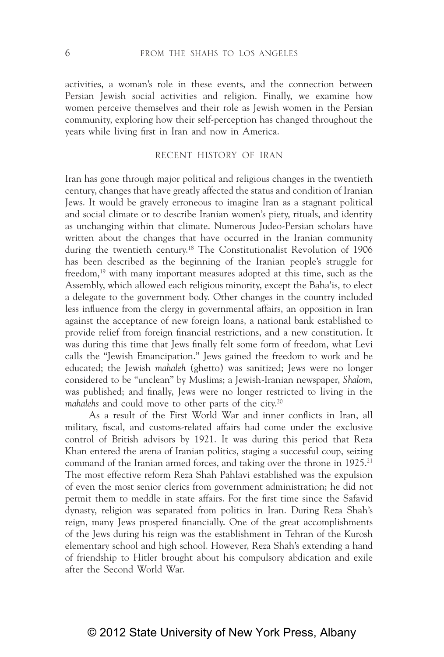activities, a woman's role in these events, and the connection between Persian Jewish social activities and religion. Finally, we examine how women perceive themselves and their role as Jewish women in the Persian community, exploring how their self-perception has changed throughout the years while living first in Iran and now in America.

#### Recent History of Iran

Iran has gone through major political and religious changes in the twentieth century, changes that have greatly affected the status and condition of Iranian Jews. It would be gravely erroneous to imagine Iran as a stagnant political and social climate or to describe Iranian women's piety, rituals, and identity as unchanging within that climate. Numerous Judeo-Persian scholars have written about the changes that have occurred in the Iranian community during the twentieth century.<sup>18</sup> The Constitutionalist Revolution of 1906 has been described as the beginning of the Iranian people's struggle for freedom,<sup>19</sup> with many important measures adopted at this time, such as the Assembly, which allowed each religious minority, except the Baha'is, to elect a delegate to the government body. Other changes in the country included less influence from the clergy in governmental affairs, an opposition in Iran against the acceptance of new foreign loans, a national bank established to provide relief from foreign financial restrictions, and a new constitution. It was during this time that Jews finally felt some form of freedom, what Levi calls the "Jewish Emancipation." Jews gained the freedom to work and be educated; the Jewish *mahaleh* (ghetto) was sanitized; Jews were no longer considered to be "unclean" by Muslims; a Jewish-Iranian newspaper, *Shalom*, was published; and finally, Jews were no longer restricted to living in the mahalehs and could move to other parts of the city.<sup>20</sup>

As a result of the First World War and inner conflicts in Iran, all military, fiscal, and customs-related affairs had come under the exclusive control of British advisors by 1921. It was during this period that Reza Khan entered the arena of Iranian politics, staging a successful coup, seizing command of the Iranian armed forces, and taking over the throne in 1925.<sup>21</sup> The most effective reform Reza Shah Pahlavi established was the expulsion of even the most senior clerics from government administration; he did not permit them to meddle in state affairs. For the first time since the Safavid dynasty, religion was separated from politics in Iran. During Reza Shah's reign, many Jews prospered financially. One of the great accomplishments of the Jews during his reign was the establishment in Tehran of the Kurosh elementary school and high school. However, Reza Shah's extending a hand of friendship to Hitler brought about his compulsory abdication and exile after the Second World War.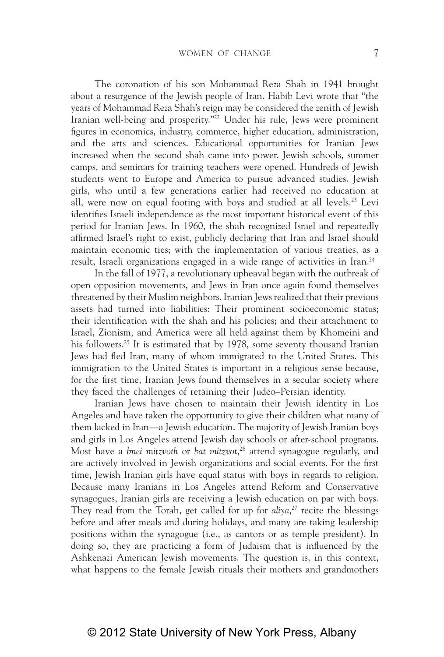The coronation of his son Mohammad Reza Shah in 1941 brought about a resurgence of the Jewish people of Iran. Habib Levi wrote that "the years of Mohammad Reza Shah's reign may be considered the zenith of Jewish Iranian well-being and prosperity."22 Under his rule, Jews were prominent figures in economics, industry, commerce, higher education, administration, and the arts and sciences. Educational opportunities for Iranian Jews increased when the second shah came into power. Jewish schools, summer camps, and seminars for training teachers were opened. Hundreds of Jewish students went to Europe and America to pursue advanced studies. Jewish girls, who until a few generations earlier had received no education at all, were now on equal footing with boys and studied at all levels.<sup>23</sup> Levi identifies Israeli independence as the most important historical event of this period for Iranian Jews. In 1960, the shah recognized Israel and repeatedly affirmed Israel's right to exist, publicly declaring that Iran and Israel should maintain economic ties; with the implementation of various treaties, as a result, Israeli organizations engaged in a wide range of activities in Iran.<sup>24</sup>

In the fall of 1977, a revolutionary upheaval began with the outbreak of open opposition movements, and Jews in Iran once again found themselves threatened by their Muslim neighbors. Iranian Jews realized that their previous assets had turned into liabilities: Their prominent socioeconomic status; their identification with the shah and his policies; and their attachment to Israel, Zionism, and America were all held against them by Khomeini and his followers.<sup>25</sup> It is estimated that by 1978, some seventy thousand Iranian Jews had fled Iran, many of whom immigrated to the United States. This immigration to the United States is important in a religious sense because, for the first time, Iranian Jews found themselves in a secular society where they faced the challenges of retaining their Judeo–Persian identity.

Iranian Jews have chosen to maintain their Jewish identity in Los Angeles and have taken the opportunity to give their children what many of them lacked in Iran—a Jewish education. The majority of Jewish Iranian boys and girls in Los Angeles attend Jewish day schools or after-school programs. Most have a *bnei mitzvoth* or *bat mitzvot*, 26 attend synagogue regularly, and are actively involved in Jewish organizations and social events. For the first time, Jewish Iranian girls have equal status with boys in regards to religion. Because many Iranians in Los Angeles attend Reform and Conservative synagogues, Iranian girls are receiving a Jewish education on par with boys. They read from the Torah, get called for up for *aliya*, 27 recite the blessings before and after meals and during holidays, and many are taking leadership positions within the synagogue (i.e., as cantors or as temple president). In doing so, they are practicing a form of Judaism that is influenced by the Ashkenazi American Jewish movements. The question is, in this context, what happens to the female Jewish rituals their mothers and grandmothers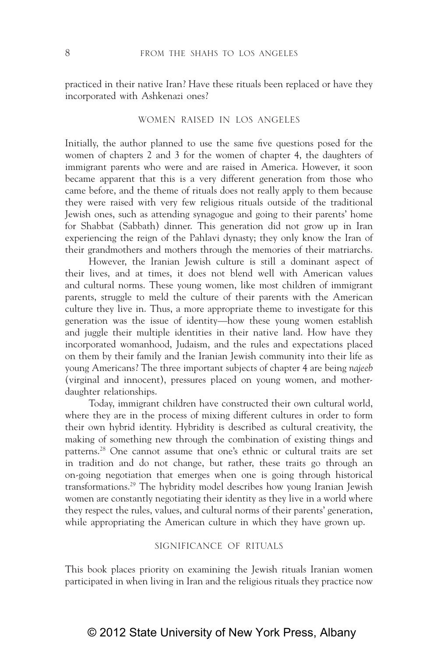practiced in their native Iran? Have these rituals been replaced or have they incorporated with Ashkenazi ones?

#### Women Raised in Los Angeles

Initially, the author planned to use the same five questions posed for the women of chapters 2 and 3 for the women of chapter 4, the daughters of immigrant parents who were and are raised in America. However, it soon became apparent that this is a very different generation from those who came before, and the theme of rituals does not really apply to them because they were raised with very few religious rituals outside of the traditional Jewish ones, such as attending synagogue and going to their parents' home for Shabbat (Sabbath) dinner. This generation did not grow up in Iran experiencing the reign of the Pahlavi dynasty; they only know the Iran of their grandmothers and mothers through the memories of their matriarchs.

However, the Iranian Jewish culture is still a dominant aspect of their lives, and at times, it does not blend well with American values and cultural norms. These young women, like most children of immigrant parents, struggle to meld the culture of their parents with the American culture they live in. Thus, a more appropriate theme to investigate for this generation was the issue of identity—how these young women establish and juggle their multiple identities in their native land. How have they incorporated womanhood, Judaism, and the rules and expectations placed on them by their family and the Iranian Jewish community into their life as young Americans? The three important subjects of chapter 4 are being *najeeb* (virginal and innocent), pressures placed on young women, and motherdaughter relationships.

Today, immigrant children have constructed their own cultural world, where they are in the process of mixing different cultures in order to form their own hybrid identity. Hybridity is described as cultural creativity, the making of something new through the combination of existing things and patterns.28 One cannot assume that one's ethnic or cultural traits are set in tradition and do not change, but rather, these traits go through an on-going negotiation that emerges when one is going through historical transformations.29 The hybridity model describes how young Iranian Jewish women are constantly negotiating their identity as they live in a world where they respect the rules, values, and cultural norms of their parents' generation, while appropriating the American culture in which they have grown up.

### Significance of Rituals

This book places priority on examining the Jewish rituals Iranian women participated in when living in Iran and the religious rituals they practice now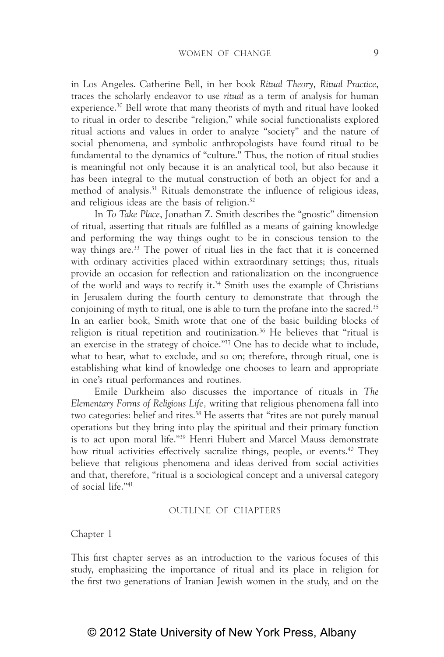in Los Angeles. Catherine Bell, in her book *Ritual Theory, Ritual Practice*, traces the scholarly endeavor to use *ritual* as a term of analysis for human experience.<sup>30</sup> Bell wrote that many theorists of myth and ritual have looked to ritual in order to describe "religion," while social functionalists explored ritual actions and values in order to analyze "society" and the nature of social phenomena, and symbolic anthropologists have found ritual to be fundamental to the dynamics of "culture." Thus, the notion of ritual studies is meaningful not only because it is an analytical tool, but also because it has been integral to the mutual construction of both an object for and a method of analysis.<sup>31</sup> Rituals demonstrate the influence of religious ideas, and religious ideas are the basis of religion.<sup>32</sup>

In *To Take Place*, Jonathan Z. Smith describes the "gnostic" dimension of ritual, asserting that rituals are fulfilled as a means of gaining knowledge and performing the way things ought to be in conscious tension to the way things are.<sup>33</sup> The power of ritual lies in the fact that it is concerned with ordinary activities placed within extraordinary settings; thus, rituals provide an occasion for reflection and rationalization on the incongruence of the world and ways to rectify it.<sup>34</sup> Smith uses the example of Christians in Jerusalem during the fourth century to demonstrate that through the conjoining of myth to ritual, one is able to turn the profane into the sacred.<sup>35</sup> In an earlier book, Smith wrote that one of the basic building blocks of religion is ritual repetition and routinization.<sup>36</sup> He believes that "ritual is an exercise in the strategy of choice."37 One has to decide what to include, what to hear, what to exclude, and so on; therefore, through ritual, one is establishing what kind of knowledge one chooses to learn and appropriate in one's ritual performances and routines.

Emile Durkheim also discusses the importance of rituals in *The Elementary Forms of Religious Life,* writing that religious phenomena fall into two categories: belief and rites.<sup>38</sup> He asserts that "rites are not purely manual operations but they bring into play the spiritual and their primary function is to act upon moral life."39 Henri Hubert and Marcel Mauss demonstrate how ritual activities effectively sacralize things, people, or events.<sup>40</sup> They believe that religious phenomena and ideas derived from social activities and that, therefore, "ritual is a sociological concept and a universal category of social life."41

### Outline of Chapters

Chapter 1

This first chapter serves as an introduction to the various focuses of this study, emphasizing the importance of ritual and its place in religion for the first two generations of Iranian Jewish women in the study, and on the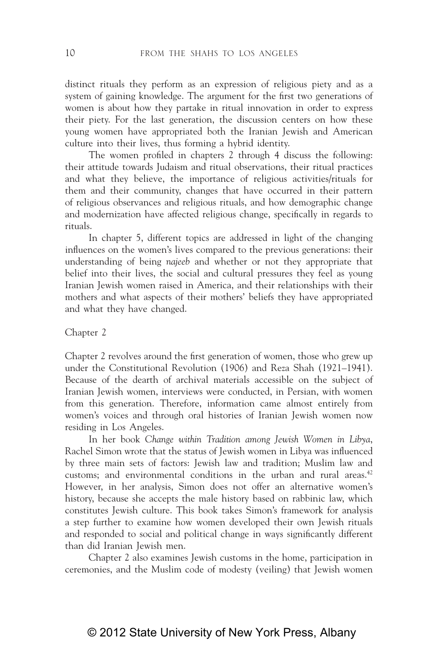distinct rituals they perform as an expression of religious piety and as a system of gaining knowledge. The argument for the first two generations of women is about how they partake in ritual innovation in order to express their piety. For the last generation, the discussion centers on how these young women have appropriated both the Iranian Jewish and American culture into their lives, thus forming a hybrid identity.

The women profiled in chapters 2 through 4 discuss the following: their attitude towards Judaism and ritual observations, their ritual practices and what they believe, the importance of religious activities/rituals for them and their community, changes that have occurred in their pattern of religious observances and religious rituals, and how demographic change and modernization have affected religious change, specifically in regards to rituals.

In chapter 5, different topics are addressed in light of the changing influences on the women's lives compared to the previous generations: their understanding of being *najeeb* and whether or not they appropriate that belief into their lives, the social and cultural pressures they feel as young Iranian Jewish women raised in America, and their relationships with their mothers and what aspects of their mothers' beliefs they have appropriated and what they have changed.

Chapter 2

Chapter 2 revolves around the first generation of women, those who grew up under the Constitutional Revolution (1906) and Reza Shah (1921–1941). Because of the dearth of archival materials accessible on the subject of Iranian Jewish women, interviews were conducted, in Persian, with women from this generation. Therefore, information came almost entirely from women's voices and through oral histories of Iranian Jewish women now residing in Los Angeles.

In her book *Change within Tradition among Jewish Women in Libya*, Rachel Simon wrote that the status of Jewish women in Libya was influenced by three main sets of factors: Jewish law and tradition; Muslim law and customs; and environmental conditions in the urban and rural areas. $42$ However, in her analysis, Simon does not offer an alternative women's history, because she accepts the male history based on rabbinic law, which constitutes Jewish culture. This book takes Simon's framework for analysis a step further to examine how women developed their own Jewish rituals and responded to social and political change in ways significantly different than did Iranian Jewish men.

Chapter 2 also examines Jewish customs in the home, participation in ceremonies, and the Muslim code of modesty (veiling) that Jewish women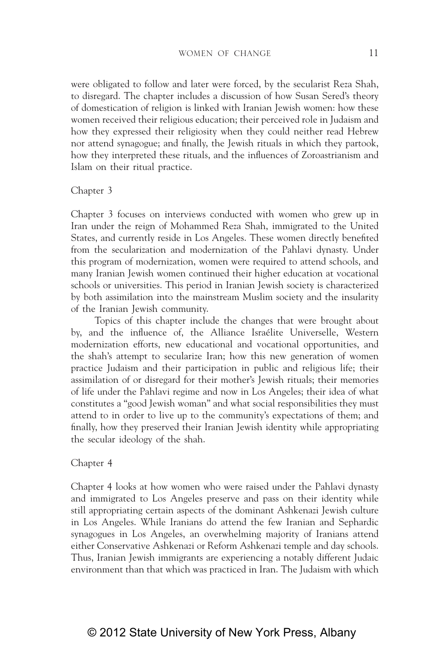were obligated to follow and later were forced, by the secularist Reza Shah, to disregard. The chapter includes a discussion of how Susan Sered's theory of domestication of religion is linked with Iranian Jewish women: how these women received their religious education; their perceived role in Judaism and how they expressed their religiosity when they could neither read Hebrew nor attend synagogue; and finally, the Jewish rituals in which they partook, how they interpreted these rituals, and the influences of Zoroastrianism and Islam on their ritual practice.

### Chapter 3

Chapter 3 focuses on interviews conducted with women who grew up in Iran under the reign of Mohammed Reza Shah, immigrated to the United States, and currently reside in Los Angeles. These women directly benefited from the secularization and modernization of the Pahlavi dynasty. Under this program of modernization, women were required to attend schools, and many Iranian Jewish women continued their higher education at vocational schools or universities. This period in Iranian Jewish society is characterized by both assimilation into the mainstream Muslim society and the insularity of the Iranian Jewish community.

Topics of this chapter include the changes that were brought about by, and the influence of, the Alliance Israélite Universelle, Western modernization efforts, new educational and vocational opportunities, and the shah's attempt to secularize Iran; how this new generation of women practice Judaism and their participation in public and religious life; their assimilation of or disregard for their mother's Jewish rituals; their memories of life under the Pahlavi regime and now in Los Angeles; their idea of what constitutes a "good Jewish woman" and what social responsibilities they must attend to in order to live up to the community's expectations of them; and finally, how they preserved their Iranian Jewish identity while appropriating the secular ideology of the shah.

### Chapter 4

Chapter 4 looks at how women who were raised under the Pahlavi dynasty and immigrated to Los Angeles preserve and pass on their identity while still appropriating certain aspects of the dominant Ashkenazi Jewish culture in Los Angeles. While Iranians do attend the few Iranian and Sephardic synagogues in Los Angeles, an overwhelming majority of Iranians attend either Conservative Ashkenazi or Reform Ashkenazi temple and day schools. Thus, Iranian Jewish immigrants are experiencing a notably different Judaic environment than that which was practiced in Iran. The Judaism with which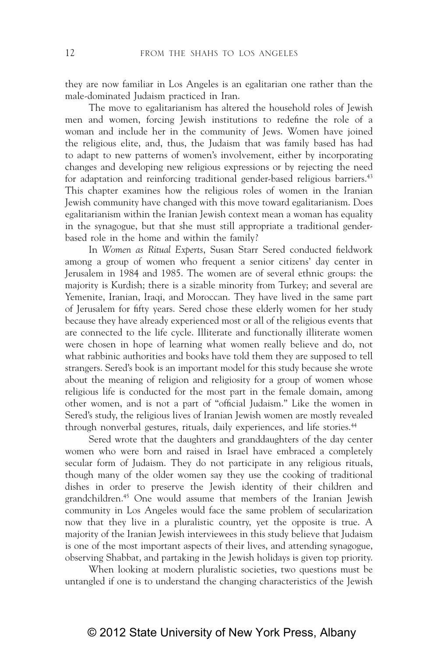they are now familiar in Los Angeles is an egalitarian one rather than the male-dominated Judaism practiced in Iran.

The move to egalitarianism has altered the household roles of Jewish men and women, forcing Jewish institutions to redefine the role of a woman and include her in the community of Jews. Women have joined the religious elite, and, thus, the Judaism that was family based has had to adapt to new patterns of women's involvement, either by incorporating changes and developing new religious expressions or by rejecting the need for adaptation and reinforcing traditional gender-based religious barriers.<sup>43</sup> This chapter examines how the religious roles of women in the Iranian Jewish community have changed with this move toward egalitarianism. Does egalitarianism within the Iranian Jewish context mean a woman has equality in the synagogue, but that she must still appropriate a traditional genderbased role in the home and within the family?

In *Women as Ritual Experts*, Susan Starr Sered conducted fieldwork among a group of women who frequent a senior citizens' day center in Jerusalem in 1984 and 1985. The women are of several ethnic groups: the majority is Kurdish; there is a sizable minority from Turkey; and several are Yemenite, Iranian, Iraqi, and Moroccan. They have lived in the same part of Jerusalem for fifty years. Sered chose these elderly women for her study because they have already experienced most or all of the religious events that are connected to the life cycle. Illiterate and functionally illiterate women were chosen in hope of learning what women really believe and do, not what rabbinic authorities and books have told them they are supposed to tell strangers. Sered's book is an important model for this study because she wrote about the meaning of religion and religiosity for a group of women whose religious life is conducted for the most part in the female domain, among other women, and is not a part of "official Judaism." Like the women in Sered's study, the religious lives of Iranian Jewish women are mostly revealed through nonverbal gestures, rituals, daily experiences, and life stories.<sup>44</sup>

Sered wrote that the daughters and granddaughters of the day center women who were born and raised in Israel have embraced a completely secular form of Judaism. They do not participate in any religious rituals, though many of the older women say they use the cooking of traditional dishes in order to preserve the Jewish identity of their children and grandchildren.45 One would assume that members of the Iranian Jewish community in Los Angeles would face the same problem of secularization now that they live in a pluralistic country, yet the opposite is true. A majority of the Iranian Jewish interviewees in this study believe that Judaism is one of the most important aspects of their lives, and attending synagogue, observing Shabbat, and partaking in the Jewish holidays is given top priority.

When looking at modern pluralistic societies, two questions must be untangled if one is to understand the changing characteristics of the Jewish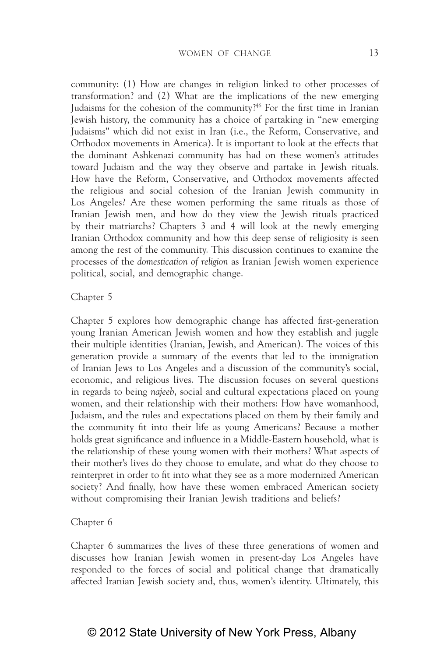community: (1) How are changes in religion linked to other processes of transformation? and (2) What are the implications of the new emerging Judaisms for the cohesion of the community?46 For the first time in Iranian Jewish history, the community has a choice of partaking in "new emerging Judaisms" which did not exist in Iran (i.e., the Reform, Conservative, and Orthodox movements in America). It is important to look at the effects that the dominant Ashkenazi community has had on these women's attitudes toward Judaism and the way they observe and partake in Jewish rituals. How have the Reform, Conservative, and Orthodox movements affected the religious and social cohesion of the Iranian Jewish community in Los Angeles? Are these women performing the same rituals as those of Iranian Jewish men, and how do they view the Jewish rituals practiced by their matriarchs? Chapters 3 and 4 will look at the newly emerging Iranian Orthodox community and how this deep sense of religiosity is seen among the rest of the community. This discussion continues to examine the processes of the *domestication of religion* as Iranian Jewish women experience political, social, and demographic change.

#### Chapter 5

Chapter 5 explores how demographic change has affected first-generation young Iranian American Jewish women and how they establish and juggle their multiple identities (Iranian, Jewish, and American). The voices of this generation provide a summary of the events that led to the immigration of Iranian Jews to Los Angeles and a discussion of the community's social, economic, and religious lives. The discussion focuses on several questions in regards to being *najeeb*, social and cultural expectations placed on young women, and their relationship with their mothers: How have womanhood, Judaism, and the rules and expectations placed on them by their family and the community fit into their life as young Americans? Because a mother holds great significance and influence in a Middle-Eastern household, what is the relationship of these young women with their mothers? What aspects of their mother's lives do they choose to emulate, and what do they choose to reinterpret in order to fit into what they see as a more modernized American society? And finally, how have these women embraced American society without compromising their Iranian Jewish traditions and beliefs?

### Chapter 6

Chapter 6 summarizes the lives of these three generations of women and discusses how Iranian Jewish women in present-day Los Angeles have responded to the forces of social and political change that dramatically affected Iranian Jewish society and, thus, women's identity. Ultimately, this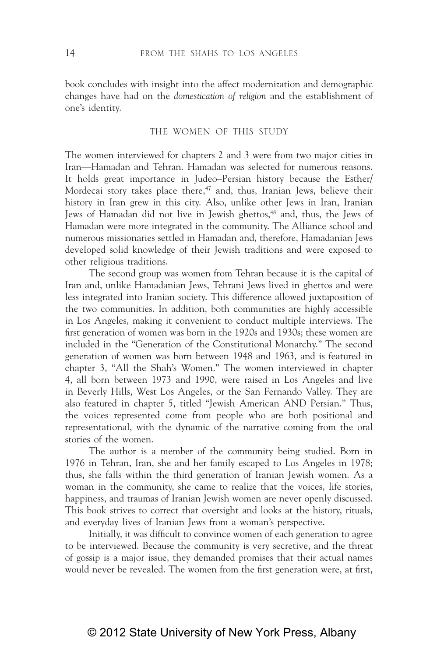book concludes with insight into the affect modernization and demographic changes have had on the *domestication of religion* and the establishment of one's identity.

#### The Women of This Study

The women interviewed for chapters 2 and 3 were from two major cities in Iran—Hamadan and Tehran. Hamadan was selected for numerous reasons. It holds great importance in Judeo–Persian history because the Esther/ Mordecai story takes place there,<sup>47</sup> and, thus, Iranian Jews, believe their history in Iran grew in this city. Also, unlike other Jews in Iran, Iranian Jews of Hamadan did not live in Jewish ghettos,<sup>48</sup> and, thus, the Jews of Hamadan were more integrated in the community. The Alliance school and numerous missionaries settled in Hamadan and, therefore, Hamadanian Jews developed solid knowledge of their Jewish traditions and were exposed to other religious traditions.

The second group was women from Tehran because it is the capital of Iran and, unlike Hamadanian Jews, Tehrani Jews lived in ghettos and were less integrated into Iranian society. This difference allowed juxtaposition of the two communities. In addition, both communities are highly accessible in Los Angeles, making it convenient to conduct multiple interviews. The first generation of women was born in the 1920s and 1930s; these women are included in the "Generation of the Constitutional Monarchy." The second generation of women was born between 1948 and 1963, and is featured in chapter 3, "All the Shah's Women." The women interviewed in chapter 4, all born between 1973 and 1990, were raised in Los Angeles and live in Beverly Hills, West Los Angeles, or the San Fernando Valley. They are also featured in chapter 5, titled "Jewish American AND Persian." Thus, the voices represented come from people who are both positional and representational, with the dynamic of the narrative coming from the oral stories of the women.

The author is a member of the community being studied. Born in 1976 in Tehran, Iran, she and her family escaped to Los Angeles in 1978; thus, she falls within the third generation of Iranian Jewish women. As a woman in the community, she came to realize that the voices, life stories, happiness, and traumas of Iranian Jewish women are never openly discussed. This book strives to correct that oversight and looks at the history, rituals, and everyday lives of Iranian Jews from a woman's perspective.

Initially, it was difficult to convince women of each generation to agree to be interviewed. Because the community is very secretive, and the threat of gossip is a major issue, they demanded promises that their actual names would never be revealed. The women from the first generation were, at first,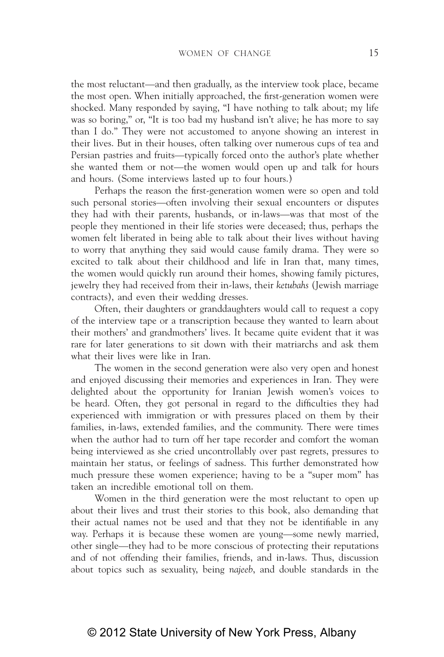the most reluctant—and then gradually, as the interview took place, became the most open. When initially approached, the first-generation women were shocked. Many responded by saying, "I have nothing to talk about; my life was so boring," or, "It is too bad my husband isn't alive; he has more to say than I do." They were not accustomed to anyone showing an interest in their lives. But in their houses, often talking over numerous cups of tea and Persian pastries and fruits—typically forced onto the author's plate whether she wanted them or not—the women would open up and talk for hours and hours. (Some interviews lasted up to four hours.)

Perhaps the reason the first-generation women were so open and told such personal stories—often involving their sexual encounters or disputes they had with their parents, husbands, or in-laws—was that most of the people they mentioned in their life stories were deceased; thus, perhaps the women felt liberated in being able to talk about their lives without having to worry that anything they said would cause family drama. They were so excited to talk about their childhood and life in Iran that, many times, the women would quickly run around their homes, showing family pictures, jewelry they had received from their in-laws, their *ketubahs* (Jewish marriage contracts), and even their wedding dresses.

Often, their daughters or granddaughters would call to request a copy of the interview tape or a transcription because they wanted to learn about their mothers' and grandmothers' lives. It became quite evident that it was rare for later generations to sit down with their matriarchs and ask them what their lives were like in Iran.

The women in the second generation were also very open and honest and enjoyed discussing their memories and experiences in Iran. They were delighted about the opportunity for Iranian Jewish women's voices to be heard. Often, they got personal in regard to the difficulties they had experienced with immigration or with pressures placed on them by their families, in-laws, extended families, and the community. There were times when the author had to turn off her tape recorder and comfort the woman being interviewed as she cried uncontrollably over past regrets, pressures to maintain her status, or feelings of sadness. This further demonstrated how much pressure these women experience; having to be a "super mom" has taken an incredible emotional toll on them.

Women in the third generation were the most reluctant to open up about their lives and trust their stories to this book, also demanding that their actual names not be used and that they not be identifiable in any way. Perhaps it is because these women are young—some newly married, other single—they had to be more conscious of protecting their reputations and of not offending their families, friends, and in-laws. Thus, discussion about topics such as sexuality, being *najeeb*, and double standards in the